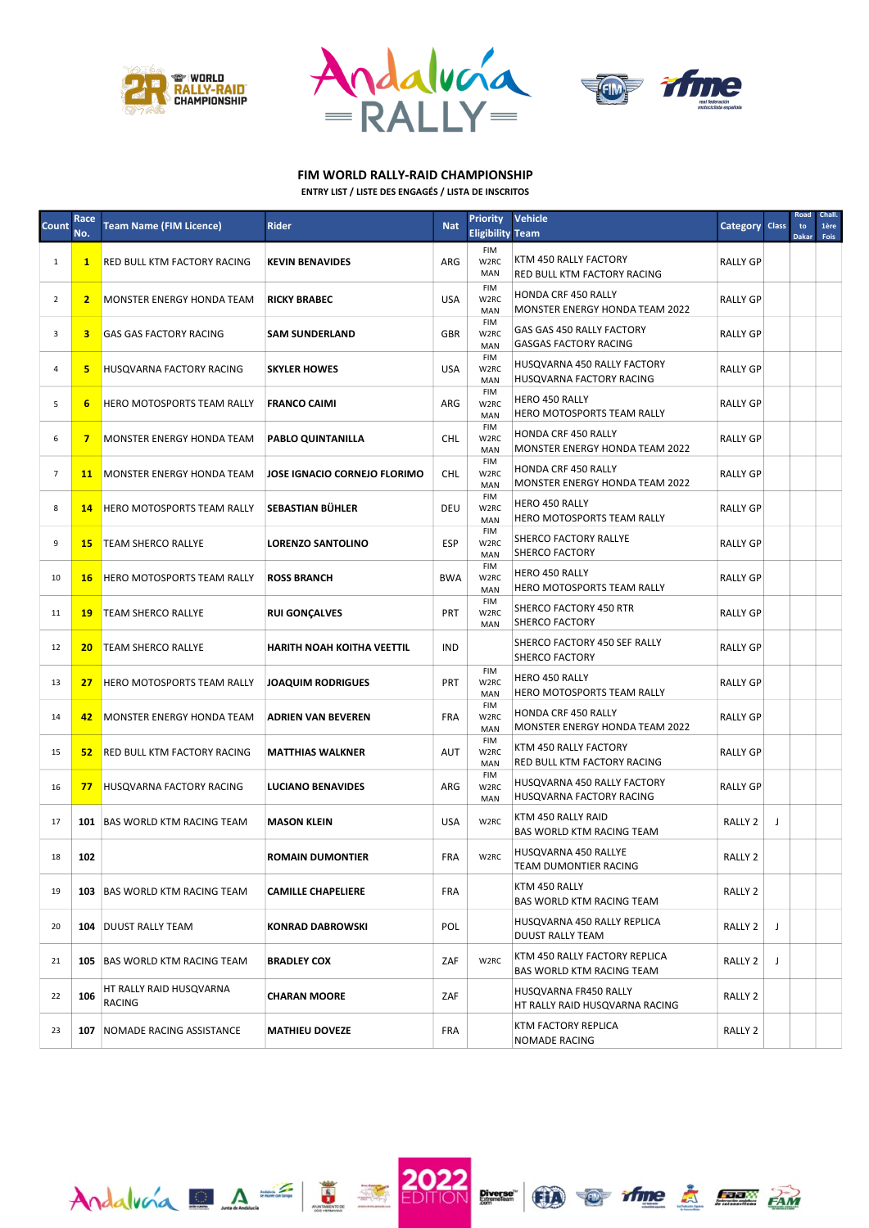

 $\text{Andalvola} \quad A =$ 





## ENTRY LIST / LISTE DES ENGAGÉS / LISTA DE INSCRITOS FIM WORLD RALLY-RAID CHAMPIONSHIP

| Count          | Race<br>No.    | <b>Team Name (FIM Licence)</b>           | <b>Rider</b>                        | <b>Nat</b> | <b>Priority</b><br><b>Eligibility Team</b> | <b>Vehicle</b>                                                      | Category Class     |   | Road<br>to<br><b>Dakar</b> | Chall.<br>1ère<br>Fois |
|----------------|----------------|------------------------------------------|-------------------------------------|------------|--------------------------------------------|---------------------------------------------------------------------|--------------------|---|----------------------------|------------------------|
| 1              | $\mathbf{1}$   | <b>RED BULL KTM FACTORY RACING</b>       | <b>KEVIN BENAVIDES</b>              | ARG        | <b>FIM</b><br>W2RC<br>MAN                  | KTM 450 RALLY FACTORY<br>RED BULL KTM FACTORY RACING                | <b>RALLY GP</b>    |   |                            |                        |
| $\overline{2}$ | $\overline{2}$ | <b>MONSTER ENERGY HONDA TEAM</b>         | <b>RICKY BRABEC</b>                 | <b>USA</b> | <b>FIM</b><br>W <sub>2</sub> RC<br>MAN     | <b>HONDA CRF 450 RALLY</b><br><b>MONSTER ENERGY HONDA TEAM 2022</b> | <b>RALLY GP</b>    |   |                            |                        |
| 3              | 3              | <b>GAS GAS FACTORY RACING</b>            | <b>SAM SUNDERLAND</b>               | GBR        | FIM<br>W2RC<br>MAN                         | GAS GAS 450 RALLY FACTORY<br><b>GASGAS FACTORY RACING</b>           | <b>RALLY GP</b>    |   |                            |                        |
| 4              | 5              | <b>HUSOVARNA FACTORY RACING</b>          | <b>SKYLER HOWES</b>                 | <b>USA</b> | <b>FIM</b><br>W <sub>2</sub> RC<br>MAN     | HUSQVARNA 450 RALLY FACTORY<br>HUSQVARNA FACTORY RACING             | <b>RALLY GP</b>    |   |                            |                        |
| 5              | 6              | <b>HERO MOTOSPORTS TEAM RALLY</b>        | <b>FRANCO CAIMI</b>                 | ARG        | <b>FIM</b><br>W <sub>2</sub> RC<br>MAN     | HERO 450 RALLY<br>HERO MOTOSPORTS TEAM RALLY                        | <b>RALLY GP</b>    |   |                            |                        |
| 6              | $\overline{7}$ | <b>MONSTER ENERGY HONDA TEAM</b>         | PABLO QUINTANILLA                   | <b>CHL</b> | FIM<br>W2RC<br>MAN                         | HONDA CRF 450 RALLY<br><b>MONSTER ENERGY HONDA TEAM 2022</b>        | <b>RALLY GP</b>    |   |                            |                        |
| $\overline{7}$ | 11             | MONSTER ENERGY HONDA TEAM                | <b>JOSE IGNACIO CORNEJO FLORIMO</b> | <b>CHL</b> | <b>FIM</b><br>W <sub>2</sub> RC<br>MAN     | HONDA CRF 450 RALLY<br>MONSTER ENERGY HONDA TEAM 2022               | <b>RALLY GP</b>    |   |                            |                        |
| 8              | 14             | <b>HERO MOTOSPORTS TEAM RALLY</b>        | SEBASTIAN BÜHLER                    | DEU        | <b>FIM</b><br>W2RC<br>MAN                  | HERO 450 RALLY<br>HERO MOTOSPORTS TEAM RALLY                        | <b>RALLY GP</b>    |   |                            |                        |
| 9              | <b>15</b>      | <b>TEAM SHERCO RALLYE</b>                | <b>LORENZO SANTOLINO</b>            | <b>ESP</b> | <b>FIM</b><br>W2RC<br>MAN                  | SHERCO FACTORY RALLYE<br>SHERCO FACTORY                             | <b>RALLY GP</b>    |   |                            |                        |
| 10             | <b>16</b>      | <b>HERO MOTOSPORTS TEAM RALLY</b>        | <b>ROSS BRANCH</b>                  | <b>BWA</b> | <b>FIM</b><br>W <sub>2</sub> RC<br>MAN     | HERO 450 RALLY<br>HERO MOTOSPORTS TEAM RALLY                        | <b>RALLY GP</b>    |   |                            |                        |
| 11             | 19             | <b>TEAM SHERCO RALLYE</b>                | <b>RUI GONÇALVES</b>                | <b>PRT</b> | <b>FIM</b><br>W2RC<br>MAN                  | SHERCO FACTORY 450 RTR<br><b>SHERCO FACTORY</b>                     | <b>RALLY GP</b>    |   |                            |                        |
| 12             | 20             | <b>TEAM SHERCO RALLYE</b>                | <b>HARITH NOAH KOITHA VEETTIL</b>   | <b>IND</b> |                                            | SHERCO FACTORY 450 SEF RALLY<br><b>SHERCO FACTORY</b>               | <b>RALLY GP</b>    |   |                            |                        |
| 13             | 27             | <b>HERO MOTOSPORTS TEAM RALLY</b>        | <b>JOAQUIM RODRIGUES</b>            | PRT        | <b>FIM</b><br>W <sub>2</sub> RC<br>MAN     | <b>HERO 450 RALLY</b><br>HERO MOTOSPORTS TEAM RALLY                 | <b>RALLY GP</b>    |   |                            |                        |
| 14             | 42             | <b>MONSTER ENERGY HONDA TEAM</b>         | <b>ADRIEN VAN BEVEREN</b>           | <b>FRA</b> | <b>FIM</b><br>W <sub>2</sub> RC<br>MAN     | <b>HONDA CRF 450 RALLY</b><br>MONSTER ENERGY HONDA TEAM 2022        | <b>RALLY GP</b>    |   |                            |                        |
| 15             | 52             | <b>RED BULL KTM FACTORY RACING</b>       | <b>MATTHIAS WALKNER</b>             | AUT        | <b>FIM</b><br>W <sub>2</sub> RC<br>MAN     | KTM 450 RALLY FACTORY<br>RED BULL KTM FACTORY RACING                | RALLY GP           |   |                            |                        |
| 16             | 77             | <b>HUSQVARNA FACTORY RACING</b>          | <b>LUCIANO BENAVIDES</b>            | ARG        | <b>FIM</b><br>W2RC<br>MAN                  | HUSQVARNA 450 RALLY FACTORY<br>HUSQVARNA FACTORY RACING             | <b>RALLY GP</b>    |   |                            |                        |
| 17             |                | 101 BAS WORLD KTM RACING TEAM            | <b>MASON KLEIN</b>                  | <b>USA</b> | W2RC                                       | KTM 450 RALLY RAID<br><b>BAS WORLD KTM RACING TEAM</b>              | RALLY 2            | J |                            |                        |
| 18             | 102            |                                          | <b>ROMAIN DUMONTIER</b>             | FRA        | W2RC                                       | HUSQVARNA 450 RALLYE<br>TEAM DUMONTIER RACING                       | RALLY <sub>2</sub> |   |                            |                        |
| 19             |                | 103 BAS WORLD KTM RACING TEAM            | <b>CAMILLE CHAPELIERE</b>           | <b>FRA</b> |                                            | KTM 450 RALLY<br><b>BAS WORLD KTM RACING TEAM</b>                   | RALLY 2            |   |                            |                        |
| 20             |                | 104 DUUST RALLY TEAM                     | <b>KONRAD DABROWSKI</b>             | POL        |                                            | HUSQVARNA 450 RALLY REPLICA<br>DUUST RALLY TEAM                     | RALLY 2            | J |                            |                        |
| 21             | 105            | <b>BAS WORLD KTM RACING TEAM</b>         | <b>BRADLEY COX</b>                  | ZAF        | W2RC                                       | KTM 450 RALLY FACTORY REPLICA<br><b>BAS WORLD KTM RACING TEAM</b>   | RALLY 2            | J |                            |                        |
| 22             | 106            | HT RALLY RAID HUSQVARNA<br><b>RACING</b> | <b>CHARAN MOORE</b>                 | ZAF        |                                            | HUSQVARNA FR450 RALLY<br>HT RALLY RAID HUSQVARNA RACING             | RALLY 2            |   |                            |                        |
| 23             | 107            | NOMADE RACING ASSISTANCE                 | <b>MATHIEU DOVEZE</b>               | FRA        |                                            | KTM FACTORY REPLICA<br>NOMADE RACING                                | RALLY 2            |   |                            |                        |

**2022**<br>Edition

Piverse (E) The in East FAM

**ENDER** 

泰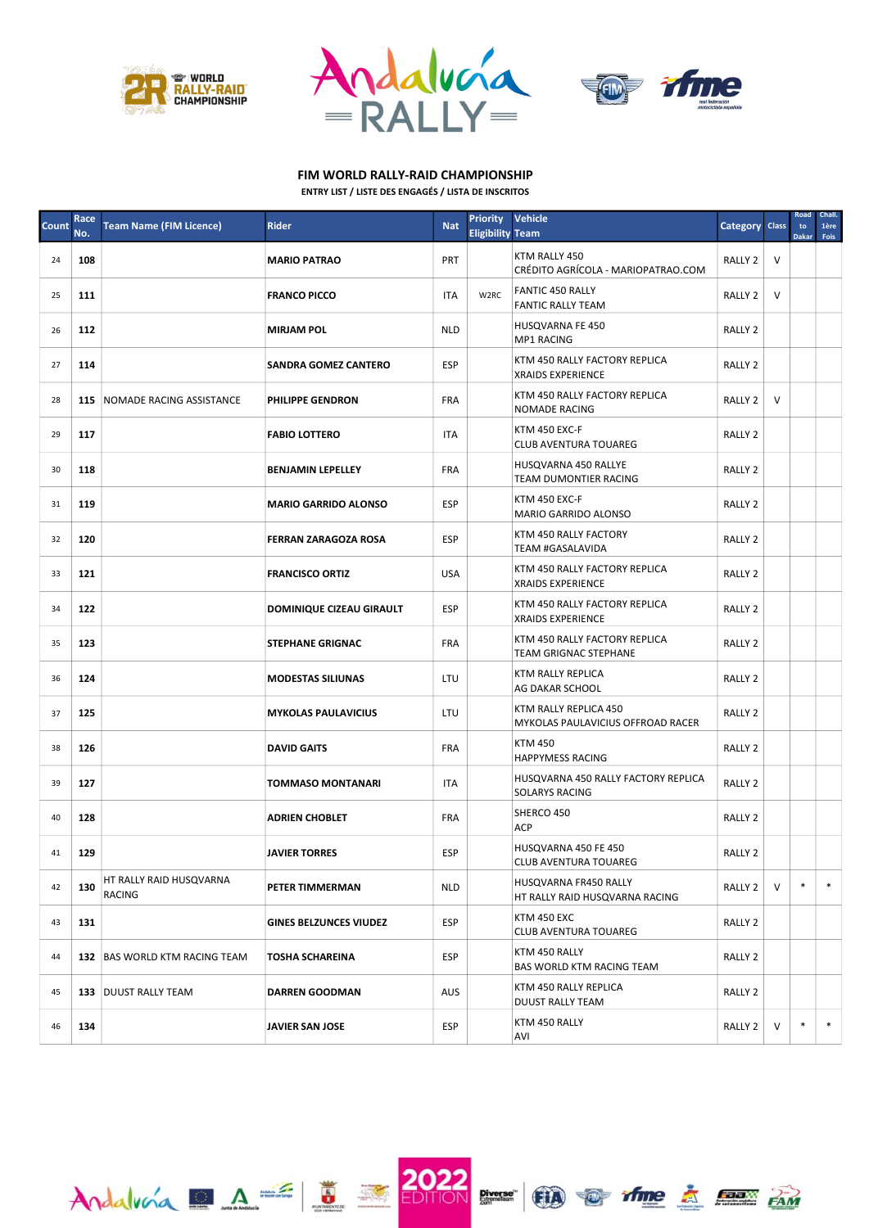

 $A_1$ dalvora  $A \stackrel{\mathcal{L}}{=} \frac{1}{2}$ 





## FIM WORLD RALLY-RAID CHAMPIONSHIP

| ENTRY LIST / LISTE DES ENGAGÉS / LISTA DE INSCRITOS |
|-----------------------------------------------------|
|-----------------------------------------------------|

| <b>Count</b> | Race<br>No. | <b>Team Name (FIM Licence)</b>    | <b>Rider</b>                  | <b>Nat</b> | <b>Priority</b><br><b>Eligibility Team</b> | <b>Vehicle</b>                                                | Category Class     |        | Road<br>to<br><b>Dakar</b> | Chall.<br>1ère<br>Fois |
|--------------|-------------|-----------------------------------|-------------------------------|------------|--------------------------------------------|---------------------------------------------------------------|--------------------|--------|----------------------------|------------------------|
| 24           | 108         |                                   | <b>MARIO PATRAO</b>           | <b>PRT</b> |                                            | KTM RALLY 450<br>CRÉDITO AGRÍCOLA - MARIOPATRAO.COM           | RALLY 2            | $\vee$ |                            |                        |
| 25           | 111         |                                   | <b>FRANCO PICCO</b>           | <b>ITA</b> | W2RC                                       | <b>FANTIC 450 RALLY</b><br><b>FANTIC RALLY TEAM</b>           | RALLY 2            | $\vee$ |                            |                        |
| 26           | 112         |                                   | <b>MIRJAM POL</b>             | <b>NLD</b> |                                            | HUSQVARNA FE 450<br><b>MP1 RACING</b>                         | RALLY <sub>2</sub> |        |                            |                        |
| 27           | 114         |                                   | <b>SANDRA GOMEZ CANTERO</b>   | ESP        |                                            | KTM 450 RALLY FACTORY REPLICA<br><b>XRAIDS EXPERIENCE</b>     | RALLY <sub>2</sub> |        |                            |                        |
| 28           |             | 115 NOMADE RACING ASSISTANCE      | <b>PHILIPPE GENDRON</b>       | FRA        |                                            | KTM 450 RALLY FACTORY REPLICA<br><b>NOMADE RACING</b>         | RALLY 2            | $\vee$ |                            |                        |
| 29           | 117         |                                   | <b>FABIO LOTTERO</b>          | ITA        |                                            | KTM 450 EXC-F<br><b>CLUB AVENTURA TOUAREG</b>                 | RALLY 2            |        |                            |                        |
| 30           | 118         |                                   | <b>BENJAMIN LEPELLEY</b>      | FRA        |                                            | HUSQVARNA 450 RALLYE<br>TEAM DUMONTIER RACING                 | RALLY 2            |        |                            |                        |
| 31           | 119         |                                   | <b>MARIO GARRIDO ALONSO</b>   | <b>ESP</b> |                                            | KTM 450 EXC-F<br>MARIO GARRIDO ALONSO                         | RALLY <sub>2</sub> |        |                            |                        |
| 32           | 120         |                                   | <b>FERRAN ZARAGOZA ROSA</b>   | <b>ESP</b> |                                            | KTM 450 RALLY FACTORY<br><b>TEAM #GASALAVIDA</b>              | RALLY <sub>2</sub> |        |                            |                        |
| 33           | 121         |                                   | <b>FRANCISCO ORTIZ</b>        | <b>USA</b> |                                            | KTM 450 RALLY FACTORY REPLICA<br><b>XRAIDS EXPERIENCE</b>     | RALLY <sub>2</sub> |        |                            |                        |
| 34           | 122         |                                   | DOMINIQUE CIZEAU GIRAULT      | <b>ESP</b> |                                            | KTM 450 RALLY FACTORY REPLICA<br><b>XRAIDS EXPERIENCE</b>     | RALLY <sub>2</sub> |        |                            |                        |
| 35           | 123         |                                   | <b>STEPHANE GRIGNAC</b>       | <b>FRA</b> |                                            | KTM 450 RALLY FACTORY REPLICA<br><b>TEAM GRIGNAC STEPHANE</b> | RALLY <sub>2</sub> |        |                            |                        |
| 36           | 124         |                                   | <b>MODESTAS SILIUNAS</b>      | LTU        |                                            | KTM RALLY REPLICA<br>AG DAKAR SCHOOL                          | RALLY <sub>2</sub> |        |                            |                        |
| 37           | 125         |                                   | <b>MYKOLAS PAULAVICIUS</b>    | LTU        |                                            | KTM RALLY REPLICA 450<br>MYKOLAS PAULAVICIUS OFFROAD RACER    | RALLY <sub>2</sub> |        |                            |                        |
| 38           | 126         |                                   | <b>DAVID GAITS</b>            | <b>FRA</b> |                                            | <b>KTM 450</b><br><b>HAPPYMESS RACING</b>                     | RALLY <sub>2</sub> |        |                            |                        |
| 39           | 127         |                                   | <b>TOMMASO MONTANARI</b>      | ITA        |                                            | HUSQVARNA 450 RALLY FACTORY REPLICA<br><b>SOLARYS RACING</b>  | RALLY <sub>2</sub> |        |                            |                        |
| 40           | 128         |                                   | <b>ADRIEN CHOBLET</b>         | <b>FRA</b> |                                            | SHERCO 450<br><b>ACP</b>                                      | RALLY <sub>2</sub> |        |                            |                        |
| 41           | 129         |                                   | <b>JAVIER TORRES</b>          | ESP        |                                            | HUSQVARNA 450 FE 450<br>CLUB AVENTURA TOUAREG                 | RALLY <sub>2</sub> |        |                            |                        |
| 42           | 130         | HT RALLY RAID HUSQVARNA<br>RACING | PETER TIMMERMAN               | <b>NLD</b> |                                            | HUSQVARNA FR450 RALLY<br>HT RALLY RAID HUSQVARNA RACING       | RALLY 2            | V      | $\ast$                     | $\ast$                 |
| 43           | 131         |                                   | <b>GINES BELZUNCES VIUDEZ</b> | ESP        |                                            | KTM 450 EXC<br><b>CLUB AVENTURA TOUAREG</b>                   | RALLY 2            |        |                            |                        |
| 44           |             | 132 BAS WORLD KTM RACING TEAM     | TOSHA SCHAREINA               | <b>ESP</b> |                                            | KTM 450 RALLY<br>BAS WORLD KTM RACING TEAM                    | RALLY 2            |        |                            |                        |
| 45           |             | 133 DUUST RALLY TEAM              | <b>DARREN GOODMAN</b>         | <b>AUS</b> |                                            | KTM 450 RALLY REPLICA<br><b>DUUST RALLY TEAM</b>              | RALLY 2            |        |                            |                        |
| 46           | 134         |                                   | JAVIER SAN JOSE               | <b>ESP</b> |                                            | KTM 450 RALLY<br>AVI                                          | RALLY 2            | V      | $\ast$                     | $\ast$                 |

2022 Press 100 of the 2 FEBRUARY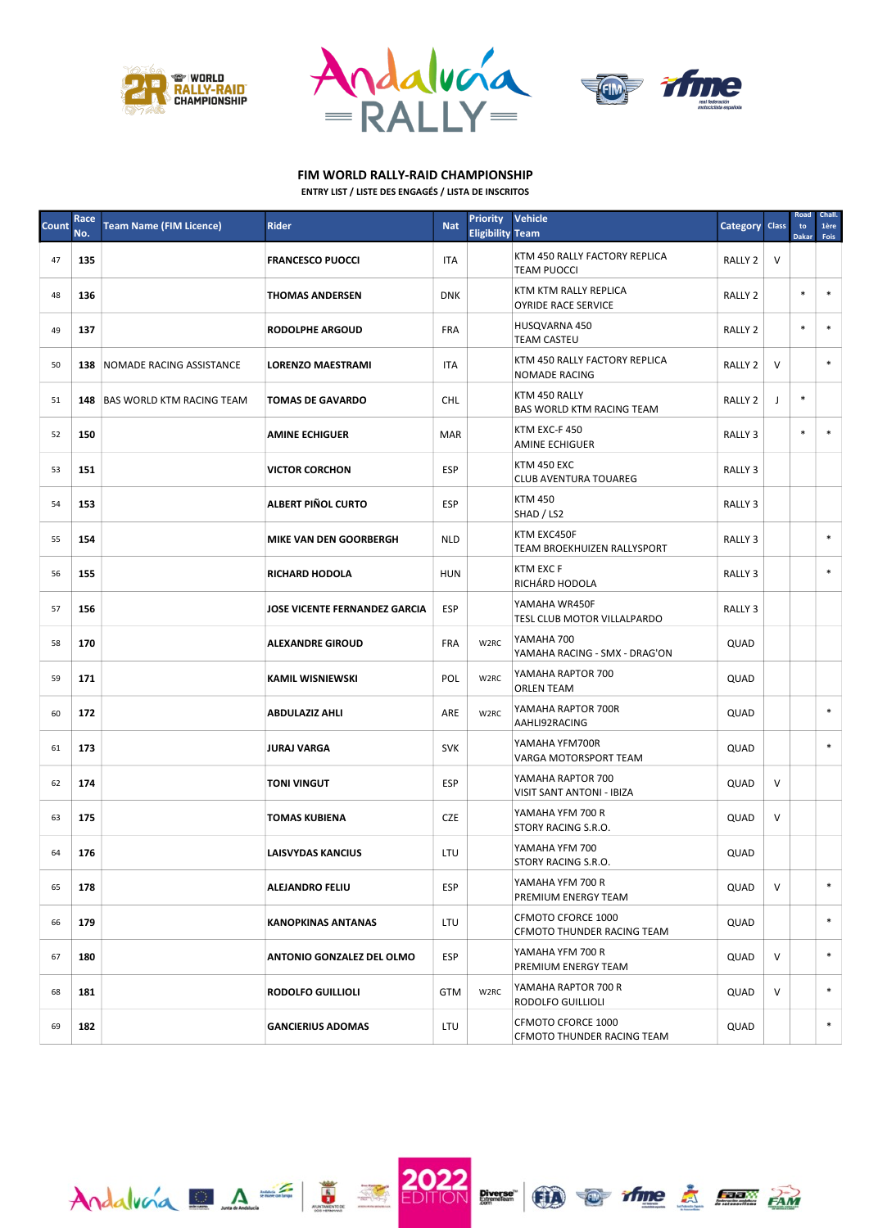

 $A_1$ dalvora  $A = \overline{B}$ 





## FIM WORLD RALLY-RAID CHAMPIONSHIP

|  | <b>ENTRY LIST / LISTE DES ENGAGÉS / LISTA DE INSCRITOS</b> |  |
|--|------------------------------------------------------------|--|
|  |                                                            |  |

| Count | Race<br>No. | <b>Team Name (FIM Licence)</b>       | <b>Rider</b>                     | <b>Nat</b> | <b>Priority</b><br><b>Eligibility Team</b> | <b>Vehicle</b>                                        | Category Class     |        | Road<br>to<br><b>Dakar</b> | Chall.<br>1ère<br>Fois |
|-------|-------------|--------------------------------------|----------------------------------|------------|--------------------------------------------|-------------------------------------------------------|--------------------|--------|----------------------------|------------------------|
| 47    | 135         |                                      | <b>FRANCESCO PUOCCI</b>          | <b>ITA</b> |                                            | KTM 450 RALLY FACTORY REPLICA<br><b>TEAM PUOCCI</b>   | RALLY <sub>2</sub> | V      |                            |                        |
| 48    | 136         |                                      | THOMAS ANDERSEN                  | <b>DNK</b> |                                            | KTM KTM RALLY REPLICA<br><b>OYRIDE RACE SERVICE</b>   | RALLY <sub>2</sub> |        | $\ast$                     | $\ast$                 |
| 49    | 137         |                                      | <b>RODOLPHE ARGOUD</b>           | FRA        |                                            | HUSQVARNA 450<br><b>TEAM CASTEU</b>                   | RALLY 2            |        | $\ast$                     | $\ast$                 |
| 50    |             | 138 NOMADE RACING ASSISTANCE         | <b>LORENZO MAESTRAMI</b>         | <b>ITA</b> |                                            | KTM 450 RALLY FACTORY REPLICA<br><b>NOMADE RACING</b> | RALLY <sub>2</sub> | V      |                            | $\ast$                 |
| 51    |             | <b>148 BAS WORLD KTM RACING TEAM</b> | <b>TOMAS DE GAVARDO</b>          | <b>CHL</b> |                                            | KTM 450 RALLY<br>BAS WORLD KTM RACING TEAM            | RALLY <sub>2</sub> | J      | $\ast$                     |                        |
| 52    | 150         |                                      | <b>AMINE ECHIGUER</b>            | <b>MAR</b> |                                            | KTM EXC-F 450<br><b>AMINE ECHIGUER</b>                | RALLY 3            |        | $\ast$                     | $\ast$                 |
| 53    | 151         |                                      | VICTOR CORCHON                   | <b>ESP</b> |                                            | <b>KTM 450 EXC</b><br><b>CLUB AVENTURA TOUAREG</b>    | RALLY 3            |        |                            |                        |
| 54    | 153         |                                      | ALBERT PIÑOL CURTO               | <b>ESP</b> |                                            | <b>KTM 450</b><br>SHAD / LS2                          | RALLY <sub>3</sub> |        |                            |                        |
| 55    | 154         |                                      | <b>MIKE VAN DEN GOORBERGH</b>    | <b>NLD</b> |                                            | KTM EXC450F<br>TEAM BROEKHUIZEN RALLYSPORT            | RALLY <sub>3</sub> |        |                            | $\ast$                 |
| 56    | 155         |                                      | <b>RICHARD HODOLA</b>            | <b>HUN</b> |                                            | <b>KTM EXC F</b><br>RICHÁRD HODOLA                    | RALLY <sub>3</sub> |        |                            | $\ast$                 |
| 57    | 156         |                                      | JOSE VICENTE FERNANDEZ GARCIA    | <b>ESP</b> |                                            | YAMAHA WR450F<br>TESL CLUB MOTOR VILLALPARDO          | RALLY <sub>3</sub> |        |                            |                        |
| 58    | 170         |                                      | <b>ALEXANDRE GIROUD</b>          | <b>FRA</b> | W2RC                                       | YAMAHA 700<br>YAMAHA RACING - SMX - DRAG'ON           | QUAD               |        |                            |                        |
| 59    | 171         |                                      | <b>KAMIL WISNIEWSKI</b>          | POL        | W2RC                                       | YAMAHA RAPTOR 700<br><b>ORLEN TEAM</b>                | QUAD               |        |                            |                        |
| 60    | 172         |                                      | ABDULAZIZ AHLI                   | ARE        | W <sub>2</sub> RC                          | YAMAHA RAPTOR 700R<br>AAHLI92RACING                   | QUAD               |        |                            | $\ast$                 |
| 61    | 173         |                                      | JURAJ VARGA                      | <b>SVK</b> |                                            | YAMAHA YFM700R<br>VARGA MOTORSPORT TEAM               | QUAD               |        |                            | $\ast$                 |
| 62    | 174         |                                      | <b>TONI VINGUT</b>               | ESP        |                                            | YAMAHA RAPTOR 700<br><b>VISIT SANT ANTONI - IBIZA</b> | QUAD               | $\vee$ |                            |                        |
| 63    | 175         |                                      | TOMAS KUBIENA                    | CZE        |                                            | YAMAHA YFM 700 R<br>STORY RACING S.R.O.               | QUAD               | $\vee$ |                            |                        |
| 64    | 176         |                                      | LAISVYDAS KANCIUS                | LTU        |                                            | YAMAHA YFM 700<br>STORY RACING S.R.O.                 | QUAD               |        |                            |                        |
| 65    | 178         |                                      | <b>ALEJANDRO FELIU</b>           | <b>ESP</b> |                                            | YAMAHA YFM 700 R<br>PREMIUM ENERGY TEAM               | QUAD               | V      |                            | $\ast$                 |
| 66    | 179         |                                      | <b>KANOPKINAS ANTANAS</b>        | LTU        |                                            | CFMOTO CFORCE 1000<br>CFMOTO THUNDER RACING TEAM      | QUAD               |        |                            | $\ast$                 |
| 67    | 180         |                                      | <b>ANTONIO GONZALEZ DEL OLMO</b> | <b>ESP</b> |                                            | YAMAHA YFM 700 R<br>PREMIUM ENERGY TEAM               | QUAD               | V      |                            | $\ast$                 |
| 68    | 181         |                                      | <b>RODOLFO GUILLIOLI</b>         | <b>GTM</b> | W2RC                                       | YAMAHA RAPTOR 700 R<br>RODOLFO GUILLIOLI              | QUAD               | V      |                            | $\ast$                 |
| 69    | 182         |                                      | <b>GANCIERIUS ADOMAS</b>         | LTU        |                                            | CFMOTO CFORCE 1000<br>CFMOTO THUNDER RACING TEAM      | QUAD               |        |                            | $\ast$                 |

**2022 Direct CD of the**  $\Delta$  **example**  $\Delta$